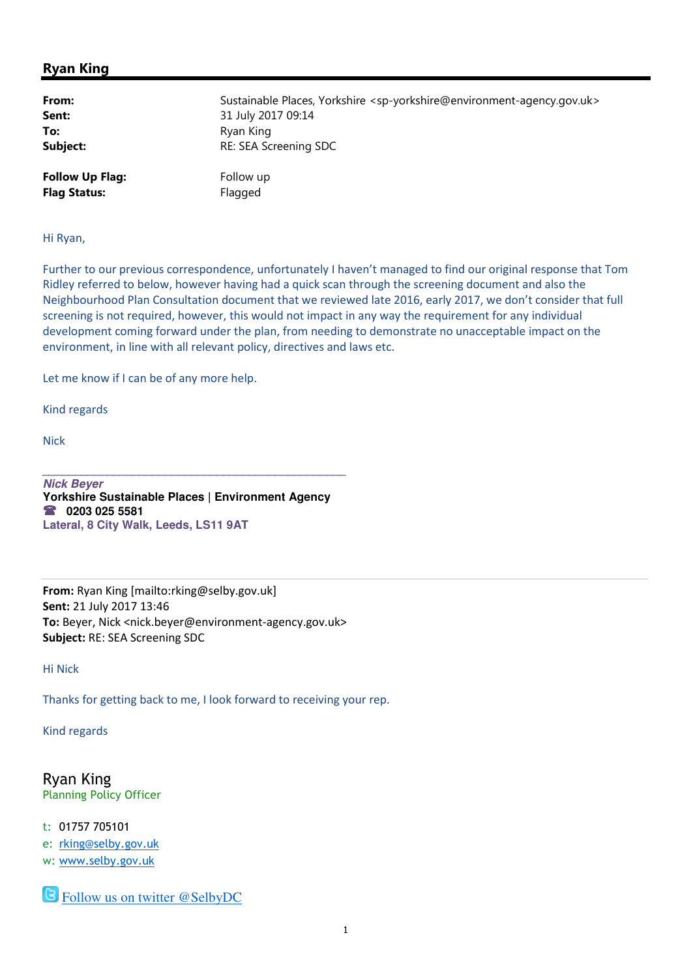## Ryan King

| From:                  | Sustainable Places, Yorkshire <sp-yorkshire@environment-agency.gov.uk></sp-yorkshire@environment-agency.gov.uk> |
|------------------------|-----------------------------------------------------------------------------------------------------------------|
| Sent:                  | 31 July 2017 09:14                                                                                              |
| To:                    | Ryan King                                                                                                       |
| Subject:               | RE: SEA Screening SDC                                                                                           |
| <b>Follow Up Flag:</b> | Follow up                                                                                                       |
| <b>Flag Status:</b>    | Flagged                                                                                                         |

Hi Ryan,

Further to our previous correspondence, unfortunately I haven't managed to find our original response that Tom Ridley referred to below, however having had a quick scan through the screening document and also the Neighbourhood Plan Consultation document that we reviewed late 2016, early 2017, we don't consider that full screening is not required, however, this would not impact in any way the requirement for any individual development coming forward under the plan, from needing to demonstrate no unacceptable impact on the environment, in line with all relevant policy, directives and laws etc.

Let me know if I can be of any more help.

Kind regards

Nick

**Nick Beyer Yorkshire Sustainable Places | Environment Agency 0203 025 5581 Lateral, 8 City Walk, Leeds, LS11 9AT** 

**\_\_\_\_\_\_\_\_\_\_\_\_\_\_\_\_\_\_\_\_\_\_\_\_\_\_\_\_\_\_\_\_\_\_\_\_\_\_\_\_\_\_\_\_\_\_\_**

From: Ryan King [mailto:rking@selby.gov.uk] Sent: 21 July 2017 13:46 To: Beyer, Nick <nick.beyer@environment-agency.gov.uk> Subject: RE: SEA Screening SDC

Hi Nick

Thanks for getting back to me, I look forward to receiving your rep.

Kind regards

Ryan King Planning Policy Officer

t: 01757 705101 e: rking@selby.gov.uk w: www.selby.gov.uk

**S** Follow us on twitter @SelbyDC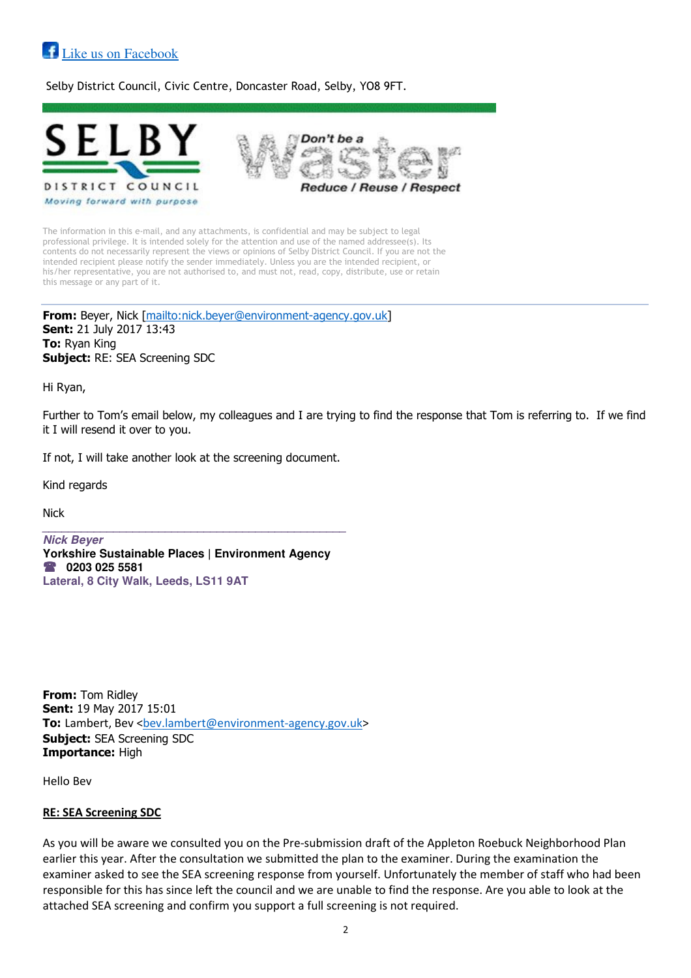## **Like us on Facebook**

Selby District Council, Civic Centre, Doncaster Road, Selby, YO8 9FT.



The information in this e-mail, and any attachments, is confidential and may be subject to legal professional privilege. It is intended solely for the attention and use of the named addressee(s). Its contents do not necessarily represent the views or opinions of Selby District Council. If you are not the intended recipient please notify the sender immediately. Unless you are the intended recipient, or his/her representative, you are not authorised to, and must not, read, copy, distribute, use or retain this message or any part of it.

From: Beyer, Nick [mailto:nick.beyer@environment-agency.gov.uk] Sent: 21 July 2017 13:43 **To: Ryan King Subject: RE: SEA Screening SDC** 

Hi Ryan,

Further to Tom's email below, my colleagues and I are trying to find the response that Tom is referring to. If we find it I will resend it over to you.

If not, I will take another look at the screening document.

Kind regards

Nick

**Nick Beyer Yorkshire Sustainable Places | Environment Agency 0203 025 5581 Lateral, 8 City Walk, Leeds, LS11 9AT** 

**\_\_\_\_\_\_\_\_\_\_\_\_\_\_\_\_\_\_\_\_\_\_\_\_\_\_\_\_\_\_\_\_\_\_\_\_\_\_\_\_\_\_\_\_\_\_\_**

**From:** Tom Ridley Sent: 19 May 2017 15:01 To: Lambert, Bev <bev.lambert@environment-agency.gov.uk> Subject: SEA Screening SDC Importance: High

Hello Bev

## RE: SEA Screening SDC

As you will be aware we consulted you on the Pre-submission draft of the Appleton Roebuck Neighborhood Plan earlier this year. After the consultation we submitted the plan to the examiner. During the examination the examiner asked to see the SEA screening response from yourself. Unfortunately the member of staff who had been responsible for this has since left the council and we are unable to find the response. Are you able to look at the attached SEA screening and confirm you support a full screening is not required.